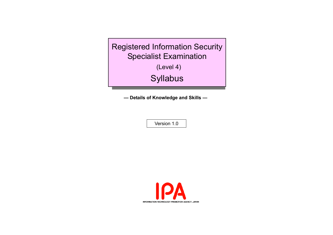Registered Information Security Specialist Examination

(Level 4)

**Syllabus** 

**— Details of Knowledge and Skills —**

Version 1.0

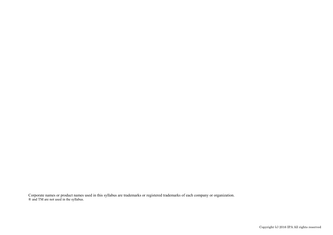Corporate names or product names used in this syllabus are trademarks or registered trademarks of each company or organization. ® and TM are not used in the syllabus.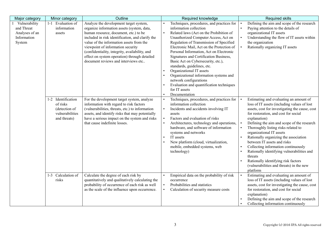| Major category                                                         | Minor category                                                                     | Outline                                                                                                                                                                                                                                                                                                                                                                                                     | Required knowledge                                                                                                                                                                                                                                                                                                                                                                                                                                                                                                                                                                     | <b>Required skills</b>                                                                                                                                                                                                                                                                                                                                                                                                                                                                                                                                                                  |
|------------------------------------------------------------------------|------------------------------------------------------------------------------------|-------------------------------------------------------------------------------------------------------------------------------------------------------------------------------------------------------------------------------------------------------------------------------------------------------------------------------------------------------------------------------------------------------------|----------------------------------------------------------------------------------------------------------------------------------------------------------------------------------------------------------------------------------------------------------------------------------------------------------------------------------------------------------------------------------------------------------------------------------------------------------------------------------------------------------------------------------------------------------------------------------------|-----------------------------------------------------------------------------------------------------------------------------------------------------------------------------------------------------------------------------------------------------------------------------------------------------------------------------------------------------------------------------------------------------------------------------------------------------------------------------------------------------------------------------------------------------------------------------------------|
| Vulnerability<br>and Threat<br>Analyses of an<br>Information<br>System | 1-1 Evaluation of<br>information<br>assets                                         | Analyze the development target system,<br>organize information assets (system, data,<br>human resource, document, etc.) to be<br>included in risk identification, and clarify the<br>value of the information assets from the<br>viewpoint of information security<br>(confidentiality, integrity, availability, and<br>effect on system operation) through detailed<br>document reviews and interviews etc | Techniques, procedures, and practices for<br>information collection<br>Related laws (Act on the Prohibition of<br>Unauthorized Computer Access, Act on<br>Regulation of Transmission of Specified<br>Electronic Mail, Act on the Protection of<br>Personal Information, Act on Electronic<br>Signatures and Certification Business,<br>Basic Act on Cybersecurity, etc.),<br>standards, guidelines, etc.<br>Organizational IT assets<br>Organizational information systems and<br>network configurations<br>Evaluation and quantification techniques<br>for IT assets<br>Documentation | Defining the aim and scope of the research<br>Paying attention to the details of<br>organizational IT assets<br>Understanding the flow of IT assets within<br>the organization<br>Rationally organizing IT assets<br>$\bullet$                                                                                                                                                                                                                                                                                                                                                          |
|                                                                        | 1-2 Identification<br>of risks<br>(detection of<br>vulnerabilities<br>and threats) | For the development target system, analyze<br>information with regard to risk factors<br>(vulnerabilities, threats, etc.) to information<br>assets, and identify risks that may potentially<br>have a serious impact on the system and risks<br>that cause indefinite losses.                                                                                                                               | Techniques, procedures, and practices for<br>information collection<br>Incidents and accidents involving IT<br>assets<br>Factors and evaluation of risks<br>Architectures, technology and operations,<br>hardware, and software of information<br>systems and networks<br>IT assets<br>New platform (cloud, virtualization,<br>mobile, embedded systems, web<br>technology)                                                                                                                                                                                                            | Estimating and evaluating an amount of<br>loss of IT assets (including values of lost<br>assets, cost for investigating the cause, cost<br>for restoration, and cost for social<br>explanation)<br>Defining the aim and scope of the research<br>Thoroughly listing risks related to<br>organizational IT assets<br>Rationally organizing the association<br>between IT assets and risks<br>Collecting information continuously<br>Rationally identifying vulnerabilities and<br>threats<br>Rationally identifying risk factors<br>(vulnerabilities and threats) in the new<br>platform |
|                                                                        | 1-3 Calculation of<br>risks                                                        | Calculate the degree of each risk by<br>quantitatively and qualitatively calculating the<br>probability of occurrence of each risk as well<br>as the scale of the influence upon occurrence.                                                                                                                                                                                                                | Empirical data on the probability of risk<br>occurrence<br>Probabilities and statistics<br>Calculation of security measure costs                                                                                                                                                                                                                                                                                                                                                                                                                                                       | Estimating and evaluating an amount of<br>loss of IT assets (including values of lost<br>assets, cost for investigating the cause, cost<br>for restoration, and cost for social<br>explanation)<br>Defining the aim and scope of the research<br>Collecting information continuously                                                                                                                                                                                                                                                                                                    |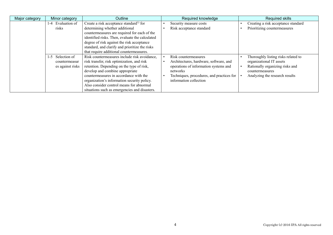| Major category | Minor category          | <b>Outline</b>                                      | Required knowledge                        | <b>Required skills</b>              |
|----------------|-------------------------|-----------------------------------------------------|-------------------------------------------|-------------------------------------|
|                | 1-4 Evaluation of       | Create a risk acceptance standard <sup>1)</sup> for | Security measure costs                    | Creating a risk acceptance standard |
|                | risks                   | determining whether additional                      | Risk acceptance standard                  | Prioritizing countermeasures        |
|                |                         | countermeasures are required for each of the        |                                           |                                     |
|                |                         | identified risks. Then, evaluate the calculated     |                                           |                                     |
|                |                         | degree of risk against the risk acceptance          |                                           |                                     |
|                |                         | standard, and clarify and prioritize the risks      |                                           |                                     |
|                |                         | that require additional countermeasures.            |                                           |                                     |
|                | Selection of<br>$1 - 5$ | Risk countermeasures include risk avoidance,        | Risk countermeasures                      | Thoroughly listing risks related to |
|                | countermeasur           | risk transfer, risk optimization, and risk          | Architectures, hardware, software, and    | organizational IT assets            |
|                | es against risks        | retention. Depending on the type of risk,           | operations of information systems and     | Rationally organizing risks and     |
|                |                         | develop and combine appropriate                     | networks                                  | countermeasures                     |
|                |                         | countermeasures in accordance with the              | Techniques, procedures, and practices for | Analyzing the research results      |
|                |                         | organization's information security policy.         | information collection                    |                                     |
|                |                         | Also consider control means for abnormal            |                                           |                                     |
|                |                         | situations such as emergencies and disasters.       |                                           |                                     |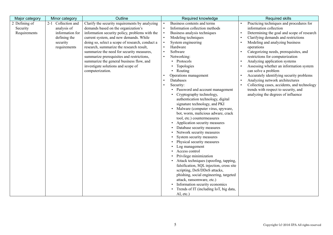| Major category | Minor category     | Outline                                         | Required knowledge                       | Required skills                             |
|----------------|--------------------|-------------------------------------------------|------------------------------------------|---------------------------------------------|
| 2 Defining of  | 2-1 Collection and | Clarify the security requirements by analyzing  | Business contents and terms              | Practicing techniques and procedures for    |
| Security       | analysis of        | demands based on the organization's             | Information collection methods           | information collection                      |
| Requirements   | information for    | information security policy, problems with the  | Business analysis techniques             | Determining the goal and scope of research  |
|                | defining the       | current system, and new demands. While          | Modeling techniques                      | Clarifying demands and restrictions         |
|                | security           | doing so, select a scope of research, conduct a | System engineering                       | Modeling and analyzing business             |
|                | requirements       | research, summarize the research result,        | Hardware                                 | operations                                  |
|                |                    | summarize the need for security measures,       | Software                                 | Categorizing needs, prerequisites, and      |
|                |                    | summarize prerequisites and restrictions,       | Networking:                              | restrictions for computerization            |
|                |                    | summarize the general business flow, and        | • Protocols                              | Analyzing application systems               |
|                |                    | investigate solutions and scope of              | Topologies                               | Assessing whether an information system     |
|                |                    | computerization.                                | • Routing                                | can solve a problem                         |
|                |                    |                                                 | Operations management                    | Accurately identifying security problems    |
|                |                    |                                                 | Databases                                | Analyzing network architectures             |
|                |                    |                                                 | Security:                                | Collecting cases, accidents, and technology |
|                |                    |                                                 | Password and account management          | trends with respect to security, and        |
|                |                    |                                                 | Cryptography technology,                 | analyzing the degrees of influence          |
|                |                    |                                                 | authentication technology, digital       |                                             |
|                |                    |                                                 | signature technology, and PKI            |                                             |
|                |                    |                                                 | Malware (computer virus, spyware,        |                                             |
|                |                    |                                                 | bot, worm, malicious adware, crack       |                                             |
|                |                    |                                                 | tool, etc.) countermeasures              |                                             |
|                |                    |                                                 | Application security measures            |                                             |
|                |                    |                                                 | Database security measures               |                                             |
|                |                    |                                                 | Network security measures                |                                             |
|                |                    |                                                 | System security measures                 |                                             |
|                |                    |                                                 | Physical security measures               |                                             |
|                |                    |                                                 | Log management                           |                                             |
|                |                    |                                                 | Access control                           |                                             |
|                |                    |                                                 | Privilege minimization                   |                                             |
|                |                    |                                                 | Attack techniques (spoofing, tapping,    |                                             |
|                |                    |                                                 | falsification, SQL injection, cross site |                                             |
|                |                    |                                                 | scripting, DoS/DDoS attacks,             |                                             |
|                |                    |                                                 | phishing, social engineering, targeted   |                                             |
|                |                    |                                                 | attack, ransomware, etc.)                |                                             |
|                |                    |                                                 | Information security economics           |                                             |
|                |                    |                                                 | Trends of IT (including IoT, big data,   |                                             |
|                |                    |                                                 | AI, etc.)                                |                                             |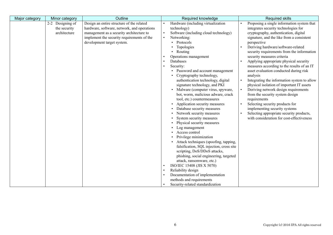| Major category | Minor category                                   | Outline                                                                                                                                                                                                          | Required knowledge                                                                                                                                                                                                                                                                                                                                                                                                                                                                                                                                                                                                                                                                                                                                                                                                                                                                                                                                                                                                    | <b>Required skills</b>                                                                                                                                                                                                                                                                                                                                                                                                                                                                                                                                                                                                                                                                                                                                                                                                   |
|----------------|--------------------------------------------------|------------------------------------------------------------------------------------------------------------------------------------------------------------------------------------------------------------------|-----------------------------------------------------------------------------------------------------------------------------------------------------------------------------------------------------------------------------------------------------------------------------------------------------------------------------------------------------------------------------------------------------------------------------------------------------------------------------------------------------------------------------------------------------------------------------------------------------------------------------------------------------------------------------------------------------------------------------------------------------------------------------------------------------------------------------------------------------------------------------------------------------------------------------------------------------------------------------------------------------------------------|--------------------------------------------------------------------------------------------------------------------------------------------------------------------------------------------------------------------------------------------------------------------------------------------------------------------------------------------------------------------------------------------------------------------------------------------------------------------------------------------------------------------------------------------------------------------------------------------------------------------------------------------------------------------------------------------------------------------------------------------------------------------------------------------------------------------------|
|                | 2-2 Designing of<br>the security<br>architecture | Design an entire structure of the related<br>hardware, software, network, and operations<br>management as a security architecture to<br>implement the security requirements of the<br>development target system. | Hardware (including virtualization<br>technology)<br>Software (including cloud technology)<br>$\bullet$<br>Networking:<br>$\bullet$<br>• Protocols<br>Topologies<br>• Routing<br>Operations management<br>Databases<br>Security:<br>• Password and account management<br>Cryptography technology,<br>authentication technology, digital<br>signature technology, and PKI<br>Malware (computer virus, spyware,<br>bot, worm, malicious adware, crack<br>tool, etc.) countermeasures<br>Application security measures<br>Database security measures<br>Network security measures<br>System security measures<br>Physical security measures<br>Log management<br>Access control<br>Privilege minimization<br>Attack techniques (spoofing, tapping,<br>falsification, SQL injection, cross site<br>scripting, DoS/DDoS attacks,<br>phishing, social engineering, targeted<br>attack, ransomware, etc.)<br>ISO/IEC 15408 (JIS X 5070)<br>Reliability design<br>Documentation of implementation<br>methods and requirements | Proposing a single information system that<br>integrates security technologies for<br>cryptography, authentication, digital<br>signature, and the like from a consistent<br>perspective<br>Deriving hardware/software-related<br>security requirements from the information<br>security measures criteria<br>Applying appropriate physical security<br>measures according to the results of an IT<br>asset evaluation conducted during risk<br>analysis<br>Integrating the information system to allow<br>physical isolation of important IT assets<br>Deriving network design requirements<br>$\bullet$<br>from the security system design<br>requirements<br>Selecting security products for<br>implementing security systems<br>Selecting appropriate security products,<br>with consideration for cost-effectiveness |
|                |                                                  |                                                                                                                                                                                                                  | Security-related standardization                                                                                                                                                                                                                                                                                                                                                                                                                                                                                                                                                                                                                                                                                                                                                                                                                                                                                                                                                                                      |                                                                                                                                                                                                                                                                                                                                                                                                                                                                                                                                                                                                                                                                                                                                                                                                                          |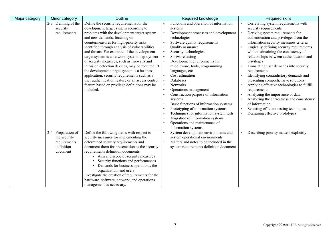| Major category | Minor category      | Outline                                          | Required knowledge                                 | <b>Required skills</b>                     |
|----------------|---------------------|--------------------------------------------------|----------------------------------------------------|--------------------------------------------|
|                | 2-3 Defining of the | Define the security requirements for the         | Functions and operation of information             | Correlating system requirements with       |
|                | security            | development target system according to           | systems                                            | security requirements                      |
|                | requirements        | problems with the development target system      | Development processes and development<br>$\bullet$ | Deriving system requirements for           |
|                |                     | and new demands, focusing on                     | technologies                                       | authentication and privileges from the     |
|                |                     | countermeasures for high-priority risks          | Software quality requirements                      | information security measures criteria     |
|                |                     | identified through analysis of vulnerabilities   | Quality assurance                                  | Logically defining security requirements   |
|                |                     | and threats. For example, if the development     | Security technologies                              | while maintaining the consistency of       |
|                |                     | target system is a network system, deployment    | Software testing                                   | relationships between authentication and   |
|                |                     | of security measures, such as firewalls and      | Development environments for                       | privileges                                 |
|                |                     | intrusion detection devices, may be required. If | middleware, tools, programming                     | Translating user demands into security     |
|                |                     | the development target system is a business      | languages, etc.                                    | requirements                               |
|                |                     | application, security requirements such as a     | Cost estimation                                    | Identifying contradictory demands and      |
|                |                     | user authentication feature or an access control | Databases                                          | presenting comprehensive solutions         |
|                |                     | feature based on privilege definitions may be    | Networks                                           | Applying effective technologies to fulfill |
|                |                     | included.                                        | Operations management                              | requirements                               |
|                |                     |                                                  | Construction purpose of information                | Analyzing the importance of data           |
|                |                     |                                                  | systems                                            | Analyzing the correctness and consistency  |
|                |                     |                                                  | Basic functions of information systems             | of information                             |
|                |                     |                                                  | Prototyping of information systems                 | Selecting efficient testing techniques     |
|                |                     |                                                  | Techniques for information system tests            | Designing effective prototypes             |
|                |                     |                                                  | Migration of information systems                   |                                            |
|                |                     |                                                  | Operations and maintenance of                      |                                            |
|                |                     |                                                  | information systems                                |                                            |
|                | 2-4 Preparation of  | Define the following items with respect to       | System development environments and                | Describing priority matters explicitly     |
|                | the security        | security measures for implementing the           | system operational environments                    |                                            |
|                | requirements        | determined security requirements and             | Matters and notes to be included in the            |                                            |
|                | definition          | document them for presentation as the security   | system requirements definition document            |                                            |
|                | document            | requirements definition documents:               |                                                    |                                            |
|                |                     | • Aim and scope of security measures             |                                                    |                                            |
|                |                     | Security functions and performances              |                                                    |                                            |
|                |                     | Demands for business operations, the             |                                                    |                                            |
|                |                     | organization, and users                          |                                                    |                                            |
|                |                     | Investigate the creation of requirements for the |                                                    |                                            |
|                |                     | hardware, software, network, and operations      |                                                    |                                            |
|                |                     | management as necessary.                         |                                                    |                                            |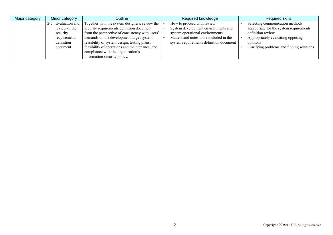| Major category | Minor category                                                         | Outline                                                                                                                                                                                     | Required knowledge                                                                                                                              | Required skills                                                                                                                      |
|----------------|------------------------------------------------------------------------|---------------------------------------------------------------------------------------------------------------------------------------------------------------------------------------------|-------------------------------------------------------------------------------------------------------------------------------------------------|--------------------------------------------------------------------------------------------------------------------------------------|
|                | Evaluation and<br>$2 - 5$<br>review of the<br>security<br>requirements | Together with the system designers, review the<br>security requirements definition document<br>from the perspective of consistency with users'<br>demands on the development target system, | How to proceed with review<br>System development environments and<br>system operational environments<br>Matters and notes to be included in the | Selecting communication methods<br>appropriate for the system requirements<br>definition review<br>Appropriately evaluating opposing |
|                | definition<br>document                                                 | feasibility of system design, testing plans,<br>feasibility of operations and maintenance, and<br>compliance with the organization's<br>information security policy.                        | system requirements definition document                                                                                                         | opinions<br>Clarifying problems and finding solutions                                                                                |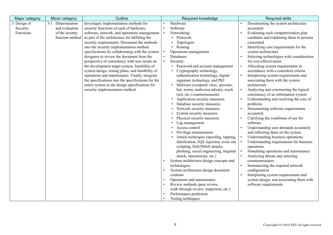| Major category | Minor category    | Outline                                            | Required knowledge                       | <b>Required skills</b>                               |
|----------------|-------------------|----------------------------------------------------|------------------------------------------|------------------------------------------------------|
| 3 Design of    | 3-1 Determination | Investigate implementation methods for             | Hardware                                 | Documenting the system architecture                  |
| Security       | and evaluation    | security functions of each of hardware,            | Software                                 | accurately                                           |
| Functions      | of the security   | software, network, and operations management       | Networking:                              | Evaluating each computerization plan                 |
|                | function method   | as part of the architecture for fulfilling the     | Protocols                                | candidate and explaining them to persons             |
|                |                   | security requirements. Document the methods        | Topologies<br>$\bullet$                  | concerned                                            |
|                |                   | into the security implementation method            | • Routing                                | Identifying core requirements for the                |
|                |                   | specifications by collaborating with the system    | Operations management                    | system architecture                                  |
|                |                   | designers to review the document from the          | Databases                                | Selecting technologies with consideration            |
|                |                   | perspective of consistency with user needs on      | Security:                                | for cost-effectiveness                               |
|                |                   | the development target system, feasibility of      | Password and account management          | Allocating system requirements in<br>$\bullet$       |
|                |                   | system design, testing plans, and feasibility of   | Cryptography technology,                 | accordance with a consistent criteria                |
|                |                   | operations and maintenance. Finally, integrate     | authentication technology, digital       | Interpreting system requirements and                 |
|                |                   | the specifications into the specifications for the | signature technology, and PKI            | associating them with the system                     |
|                |                   | entire system as the design specifications for     | Malware (computer virus, spyware,        | architecture                                         |
|                |                   | security implementation method.                    | bot, worm, malicious adware, crack       | $\bullet$<br>Analyzing and constructing the logical  |
|                |                   |                                                    | tool, etc.) countermeasures              | consistency of an information system                 |
|                |                   |                                                    | Application security measures            | Understanding and resolving the core of              |
|                |                   |                                                    | Database security measures               | problems                                             |
|                |                   |                                                    | Network security measures                | Documenting software requirements                    |
|                |                   |                                                    | System security measures                 | accurately                                           |
|                |                   |                                                    | Physical security measures               | Clarifying the conditions of use for                 |
|                |                   |                                                    | Log management                           | software                                             |
|                |                   |                                                    | Access control                           | Understanding user demands accurately                |
|                |                   |                                                    | Privilege minimization                   | and reflecting them on the system                    |
|                |                   |                                                    | Attack techniques (spoofing, tapping,    | Understanding business operations                    |
|                |                   |                                                    | falsification, SQL injection, cross site | Understanding requirements for business<br>$\bullet$ |
|                |                   |                                                    | scripting, DoS/DDoS attacks,             | operations                                           |
|                |                   |                                                    | phishing, social engineering, targeted   | Simulating operations and maintenance                |
|                |                   |                                                    | attack, ransomware, etc.)                | Analyzing threats and selecting<br>$\bullet$         |
|                |                   |                                                    | System architecture design concepts and  | countermeasures                                      |
|                |                   |                                                    | technologies                             | Summarizing the required network                     |
|                |                   |                                                    | System architecture design document      | configuration                                        |
|                |                   |                                                    | contents                                 | Interpreting system requirements and                 |
|                |                   |                                                    | Operations and maintenance               | system design, and associating them with             |
|                |                   |                                                    | Review methods (peer review,             | software requirements                                |
|                |                   |                                                    | walk-through review, inspection, etc.)   |                                                      |
|                |                   |                                                    | Performance prediction                   |                                                      |
|                |                   |                                                    | Testing techniques                       |                                                      |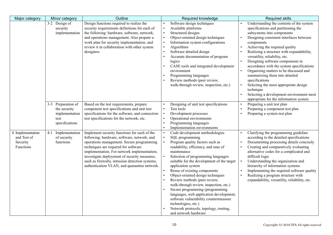| Major category                                           | Minor category                                                                 | Outline                                                                                                                                                                                                                                                                                                                                                                            | Required knowledge                                                                                                                                                                                                                                                                                                                                                                                                                                                                                                                                                                                                  | <b>Required skills</b>                                                                                                                                                                                                                                                                                                                                                                                                                                                                                                                                                                                             |
|----------------------------------------------------------|--------------------------------------------------------------------------------|------------------------------------------------------------------------------------------------------------------------------------------------------------------------------------------------------------------------------------------------------------------------------------------------------------------------------------------------------------------------------------|---------------------------------------------------------------------------------------------------------------------------------------------------------------------------------------------------------------------------------------------------------------------------------------------------------------------------------------------------------------------------------------------------------------------------------------------------------------------------------------------------------------------------------------------------------------------------------------------------------------------|--------------------------------------------------------------------------------------------------------------------------------------------------------------------------------------------------------------------------------------------------------------------------------------------------------------------------------------------------------------------------------------------------------------------------------------------------------------------------------------------------------------------------------------------------------------------------------------------------------------------|
|                                                          | 3-2 Design of<br>security<br>implementation                                    | Design functions required to realize the<br>security requirements definitions for each of<br>the following: hardware, software, network,<br>and operations management. Also prepare a<br>work plan for security implementation, and<br>review it in collaboration with other system<br>designers.                                                                                  | Software design techniques<br>Available platforms<br>Structured designs<br>Object-oriented design techniques<br>Information system configurations<br>Algorithms<br>Software detailed design<br>Accurate documentation of program<br>logics<br>CASE tools and integrated development<br>environment<br>Programming languages<br>Review methods (peer review,<br>walk-through review, inspection, etc.)                                                                                                                                                                                                               | Understanding the contents of the system<br>specifications and partitioning the<br>subsystems into components<br>Designing consistent interfaces between<br>components<br>Achieving the required quality<br>Realizing a structure with expandability,<br>versatility, reliability, etc.<br>Designing software components in<br>accordance with the system specifications<br>Organizing matters to be discussed and<br>summarizing them into detailed<br>specifications<br>Selecting the most appropriate design<br>technique<br>Selecting a development environment most<br>appropriate for the information system |
|                                                          | 3-3 Preparation of<br>the security<br>implementation<br>test<br>specifications | Based on the test requirements, prepare<br>component test specifications and unit test<br>specifications for the software, and connection<br>test specifications for the network, etc.                                                                                                                                                                                             | Designing of unit test specifications<br>Test tools<br>Development processes<br>Operational environments<br>Programming languages<br>Implementation environments                                                                                                                                                                                                                                                                                                                                                                                                                                                    | Preparing a unit test plan<br>Preparing a component test plan<br>Preparing a system test plan                                                                                                                                                                                                                                                                                                                                                                                                                                                                                                                      |
| 4 Implementation<br>and Test of<br>Security<br>Functions | Implementation<br>$4-1$<br>of security<br>functions                            | Implement security functions for each of the<br>following: hardware, software, network, and<br>operations management. Secure programming<br>techniques are required for software<br>implementation. For network implementation,<br>investigate deployment of security measures,<br>such as firewalls, intrusion detection systems,<br>authentication VLAN, and quarantine network. | Code development methodologies<br>SQL programming<br>Program quality factors such as<br>readability, efficiency, and ease of<br>maintenance<br>Selection of programming languages<br>suitable for the development of the target<br>application system<br>Reuse of existing components<br>Object-oriented design techniques<br>Review methods (peer review,<br>walk-through review, inspection, etc.)<br>Secure programming (programming<br>languages, web application development,<br>software vulnerability countermeasure<br>technologies, etc.)<br>Network protocols, topology, routing,<br>and network hardware | Clarifying the programming guideline<br>according to the detailed specifications<br>Documenting processing details concisely<br>Creating and comparatively evaluating<br>alternative codes for a complicated and<br>difficult logic<br>Understanding the organization and<br>hierarchy of information systems<br>Implementing the required software quality<br>Realizing a program structure with<br>expandability, versatility, reliability, etc.                                                                                                                                                                 |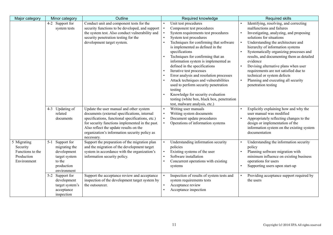| Major category                                                           | Minor category                                                                                                 | Outline                                                                                                                                                                                                                                                                                                 | Required knowledge                                                                                                                                                                                                                                                                                                                                                                                                                                                                                                                                                                                                       | <b>Required skills</b>                                                                                                                                                                                                                                                                                                                                                                                                                                                                                                                        |
|--------------------------------------------------------------------------|----------------------------------------------------------------------------------------------------------------|---------------------------------------------------------------------------------------------------------------------------------------------------------------------------------------------------------------------------------------------------------------------------------------------------------|--------------------------------------------------------------------------------------------------------------------------------------------------------------------------------------------------------------------------------------------------------------------------------------------------------------------------------------------------------------------------------------------------------------------------------------------------------------------------------------------------------------------------------------------------------------------------------------------------------------------------|-----------------------------------------------------------------------------------------------------------------------------------------------------------------------------------------------------------------------------------------------------------------------------------------------------------------------------------------------------------------------------------------------------------------------------------------------------------------------------------------------------------------------------------------------|
|                                                                          | 4-2 Support for<br>system tests                                                                                | Conduct unit and component tests for the<br>security functions to be developed, and support<br>the system test. Also conduct vulnerability and<br>security penetration testing for the<br>development target system.                                                                                    | Unit test procedures<br>Component test procedures<br>System requirements test procedures<br>System test procedures<br>Techniques for confirming that software<br>is implemented as defined in the<br>specifications<br>Techniques for confirming that an<br>information system is implemented as<br>defined in the specifications<br>Iterative test processes<br>Error analysis and resolution processes<br>Attack techniques and vulnerabilities<br>used to perform security penetration<br>testing<br>Knowledge for security evaluation<br>testing (white box, black box, penetration<br>test, malware analysis, etc.) | Identifying, resolving, and correcting<br>malfunctions and failures<br>Investigating, analyzing, and proposing<br>$\bullet$<br>solutions for situations<br>Understanding the architecture and<br>$\bullet$<br>hierarchy of information systems<br>Systematically organizing processes and<br>results, and documenting them as detailed<br>evidence<br>Devising alternative plans when user<br>requirements are not satisfied due to<br>technical or system defects<br>Planning and executing all security<br>$\bullet$<br>penetration testing |
|                                                                          | 4-3 Updating of<br>related<br>documents                                                                        | Update the user manual and other system<br>documents (external specifications, internal<br>specifications, functional specifications, etc.)<br>for security functions implemented in the past.<br>Also reflect the update results on the<br>organization's information security policy as<br>necessary. | Writing user manuals<br>Writing system documents<br>Document update procedures<br>Operations of information systems                                                                                                                                                                                                                                                                                                                                                                                                                                                                                                      | Explicitly explaining how and why the<br>user manual was modified<br>Appropriately reflecting changes to the<br>design or implementation of the<br>information system on the existing system<br>documentation                                                                                                                                                                                                                                                                                                                                 |
| 5 Migrating<br>Security<br>Functions to the<br>Production<br>Environment | $5 - 1$<br>Support for<br>migrating the<br>development<br>target system<br>to the<br>production<br>environment | Support the preparation of the migration plan<br>and the migration of the development target<br>system in accordance with the organization's<br>information security policy.                                                                                                                            | Understanding information security<br>policies<br>Existing systems of the user<br>Software installation<br>Concurrent operations with existing<br>systems                                                                                                                                                                                                                                                                                                                                                                                                                                                                | Understanding the information security<br>policy<br>Planning software migration with<br>$\bullet$<br>minimum influence on existing business<br>operations for users<br>Supporting users upon start-up                                                                                                                                                                                                                                                                                                                                         |
|                                                                          | 5-2 Support for<br>development<br>target system's<br>acceptance<br>inspection                                  | Support the acceptance review and acceptance<br>inspection of the development target system by<br>the outsourcer.                                                                                                                                                                                       | Inspection of results of system tests and<br>system requirements tests<br>Acceptance review<br>Acceptance inspection                                                                                                                                                                                                                                                                                                                                                                                                                                                                                                     | Providing acceptance support required by<br>$\bullet$<br>the users                                                                                                                                                                                                                                                                                                                                                                                                                                                                            |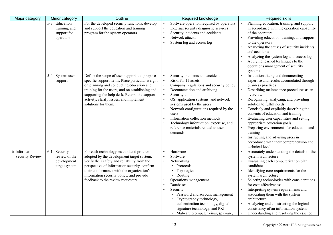| Major category                          | Minor category                                                     | Outline                                                                                                                                                                                                                                                                                                             | Required knowledge                                                                                                                                                                                                                                                                                                                                                                                        | <b>Required skills</b>                                                                                                                                                                                                                                                                                                                                                                                                                                                                                                                                    |
|-----------------------------------------|--------------------------------------------------------------------|---------------------------------------------------------------------------------------------------------------------------------------------------------------------------------------------------------------------------------------------------------------------------------------------------------------------|-----------------------------------------------------------------------------------------------------------------------------------------------------------------------------------------------------------------------------------------------------------------------------------------------------------------------------------------------------------------------------------------------------------|-----------------------------------------------------------------------------------------------------------------------------------------------------------------------------------------------------------------------------------------------------------------------------------------------------------------------------------------------------------------------------------------------------------------------------------------------------------------------------------------------------------------------------------------------------------|
|                                         | 5-3 Education,<br>training, and<br>support for<br>operators        | For the developed security functions, develop<br>and support the education and training<br>program for the system operators.                                                                                                                                                                                        | Software operation required by operators<br>External security diagnostic services<br>Security incidents and accidents<br>Network attacks<br>System log and access log                                                                                                                                                                                                                                     | Planning education, training, and support<br>in accordance with the operation capability<br>of the operators<br>Providing education, training, and support<br>to the operators<br>Analyzing the causes of security incidents<br>and accidents<br>Analyzing the system log and access log<br>Applying learned techniques to the<br>operations management of security<br>systems                                                                                                                                                                            |
|                                         | 5-4 System user<br>support                                         | Define the scope of user support and propose<br>specific support items. Place particular weight<br>on planning and conducting education and<br>training for the users, and on establishing and<br>supporting the help desk. Record the support<br>activity, clarify issues, and implement<br>solutions for them.    | Security incidents and accidents<br>Risks for IT assets<br>Company regulations and security policy<br>Documentation and archiving<br>Security tools<br>OS, application systems, and network<br>systems used by the users<br>Network configurations required by the<br>users<br>Information collection methods<br>Technology information, expertise, and<br>reference materials related to user<br>demands | Institutionalizing and documenting<br>expertise and results accumulated through<br>business practices<br>Describing maintenance procedures as an<br>overview<br>Recognizing, analyzing, and providing<br>solution to fulfill needs<br>Concisely and explicitly describing the<br>contents of education and training<br>Evaluating user capabilities and setting<br>appropriate education goals<br>Preparing environments for education and<br>training<br>Instructing and advising users in<br>accordance with their comprehension and<br>technical level |
| 6 Information<br><b>Security Review</b> | $6-1$<br>Security<br>review of the<br>development<br>target system | For each technology method and protocol<br>adopted by the development target system,<br>verify their safety and reliability from the<br>perspective of information security, confirm<br>their conformance with the organization's<br>information security policy, and provide<br>feedback to the review requesters. | Hardware<br>Software<br>Networking:<br>• Protocols<br>Topologies<br>• Routing<br>Operations management<br>Databases<br>Security:<br>Password and account management<br>Cryptography technology,<br>authentication technology, digital<br>signature technology, and PKI<br>• Malware (computer virus, spyware,                                                                                             | Accurately understanding the details of the<br>system architecture<br>Evaluating each computerization plan<br>candidate<br>Identifying core requirements for the<br>system architecture<br>Selecting technologies with considerations<br>for cost-effectiveness<br>Interpreting system requirements and<br>associating them with the system<br>architecture<br>Analyzing and constructing the logical<br>consistency of an information system<br>Understanding and resolving the essence<br>$\bullet$                                                     |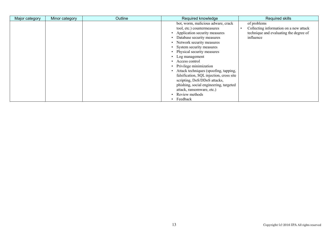| Major category | Minor category | Outline | Required knowledge                                                                                                                                                                                                                                                                                                                                                                                                                                                                                                                       | <b>Required skills</b>                                                                                       |
|----------------|----------------|---------|------------------------------------------------------------------------------------------------------------------------------------------------------------------------------------------------------------------------------------------------------------------------------------------------------------------------------------------------------------------------------------------------------------------------------------------------------------------------------------------------------------------------------------------|--------------------------------------------------------------------------------------------------------------|
|                |                |         | bot, worm, malicious adware, crack<br>tool, etc.) countermeasures<br>Application security measures<br>Database security measures<br>• Network security measures<br>• System security measures<br>• Physical security measures<br>Log management<br>$\bullet$<br>• Access control<br>• Privilege minimization<br>• Attack techniques (spoofing, tapping,<br>falsification, SQL injection, cross site<br>scripting, DoS/DDoS attacks,<br>phishing, social engineering, targeted<br>attack, ransomware, etc.)<br>Review methods<br>Feedback | of problems<br>Collecting information on a new attack<br>technique and evaluating the degree of<br>influence |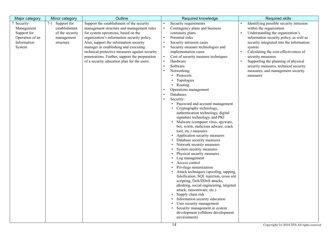| Outline<br>Major category<br>Minor category                                                                                                                                                                                                                                                                                                                                                                                                                                                                                                                                               | Required knowledge                                                                                                                                                                                                                                                                                                                                                                                                                                                                                                                                                                                                                                                                                                                                                                                                                                                                                                                                                                                                                                                                                                                                                                                                             | <b>Required skills</b>                                                                                                                                                                                                                                                                                                                                                                                 |
|-------------------------------------------------------------------------------------------------------------------------------------------------------------------------------------------------------------------------------------------------------------------------------------------------------------------------------------------------------------------------------------------------------------------------------------------------------------------------------------------------------------------------------------------------------------------------------------------|--------------------------------------------------------------------------------------------------------------------------------------------------------------------------------------------------------------------------------------------------------------------------------------------------------------------------------------------------------------------------------------------------------------------------------------------------------------------------------------------------------------------------------------------------------------------------------------------------------------------------------------------------------------------------------------------------------------------------------------------------------------------------------------------------------------------------------------------------------------------------------------------------------------------------------------------------------------------------------------------------------------------------------------------------------------------------------------------------------------------------------------------------------------------------------------------------------------------------------|--------------------------------------------------------------------------------------------------------------------------------------------------------------------------------------------------------------------------------------------------------------------------------------------------------------------------------------------------------------------------------------------------------|
| Support the establishment of the security<br>7-1 Support for<br>Security<br>establishment<br>management structure and management rules<br>Management<br>for system operations, based on the<br>Support for<br>of the security<br>Operation of an<br>organization's information security policy.<br>management<br>Information<br>Also, support the information security<br>structure<br>manager in establishing and executing<br>System<br>technical protective measures against security<br>penetrations. Further, support the preparation<br>of a security education plan for the users. | Security requirements<br>$\bullet$<br>Contingency plans and business<br>$\bullet$<br>continuity plans<br>Potential risks<br>Security intrusion cases<br>Security measure technologies and<br>implementation cases<br>Cost of security measure techniques<br>Hardware<br>Software<br>Networking:<br>• Protocols<br>Topologies<br>Routing<br>Operations management<br>Databases<br>Security:<br>• Password and account management<br>Cryptography technology,<br>authentication technology, digital<br>signature technology, and PKI<br>Malware (computer virus, spyware,<br>bot, worm, malicious adware, crack<br>tool, etc.) measures<br>Application security measures<br>Database security measures<br>Network security measures<br>System security measures<br>Physical security measures<br>Log management<br>Access control<br>Privilege minimization<br>Attack techniques (spoofing, tapping,<br>falsification, SQL injection, cross site<br>scripting, DoS/DDoS attacks,<br>phishing, social engineering, targeted<br>attack, ransomware, etc.)<br>Supply chain risk<br>Information security education<br>User security management<br>Security management in system<br>development (offshore development<br>environment) | Identifying possible security intrusion<br>within the organization<br>Understanding the organization's<br>information security policy, as well as<br>security integrated into the information<br>system<br>Calculating the cost-effectiveness of<br>security measures<br>Supporting the planning of physical<br>security measures, technical security<br>measures, and management security<br>measures |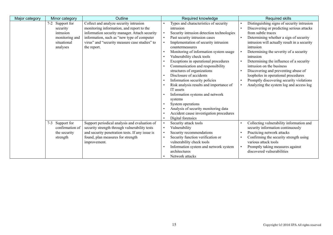| Major category | Minor category         | Outline                                         | Required knowledge                        | <b>Required skills</b>                       |
|----------------|------------------------|-------------------------------------------------|-------------------------------------------|----------------------------------------------|
|                | Support for<br>$7 - 2$ | Collect and analyze security intrusion          | Types and characteristics of security     | Distinguishing signs of security intrusion   |
|                | security               | monitoring information, and report to the       | intrusion                                 | Discovering or predicting serious attacks    |
|                | intrusion              | information security manager. Attach security   | Security intrusion detection technologies | from subtle traces                           |
|                | monitoring and         | information, such as "new type of computer      | Past security intrusion cases             | Determining whether a sign of security       |
|                | situational            | virus" and "security measure case studies" to   | Implementation of security intrusion      | intrusion will actually result in a security |
|                | analyses               | the report.                                     | countermeasures                           | intrusion                                    |
|                |                        |                                                 | Monitoring of information system usage    | Determining the severity of a security       |
|                |                        |                                                 | Vulnerability check tools                 | intrusion                                    |
|                |                        |                                                 | Exceptions in operational procedures      | Determining the influence of a security      |
|                |                        |                                                 | Communication and responsibility          | intrusion on the business                    |
|                |                        |                                                 | structures of organizations               | Discovering and preventing abuse of          |
|                |                        |                                                 | Disclosure of accidents                   | loopholes in operational procedures          |
|                |                        |                                                 | Information security policies             | Promptly discovering security violations     |
|                |                        |                                                 | Risk analysis results and importance of   | Analyzing the system log and access log      |
|                |                        |                                                 | IT assets                                 |                                              |
|                |                        |                                                 | Information systems and network           |                                              |
|                |                        |                                                 | systems                                   |                                              |
|                |                        |                                                 | System operations                         |                                              |
|                |                        |                                                 | Analysis of security monitoring data      |                                              |
|                |                        |                                                 | Accident cause investigation procedures   |                                              |
|                |                        |                                                 | Digital forensics                         |                                              |
|                | $7 - 3$<br>Support for | Support periodical analysis and evaluation of   | Security attack tools                     | Collecting vulnerability information and     |
|                | confirmation of        | security strength through vulnerability tests   | Vulnerability                             | security information continuously            |
|                | the security           | and security penetration tests. If any issue is | Security recommendations                  | Practicing network attacks                   |
|                | strength               | found, plan measures for strength               | Security function verification or         | Confirming the security strength using       |
|                |                        | improvement.                                    | vulnerability check tools                 | various attack tools                         |
|                |                        |                                                 | Information system and network system     | Promptly taking measures against             |
|                |                        |                                                 | architectures                             | discovered vulnerabilities                   |
|                |                        |                                                 | Network attacks                           |                                              |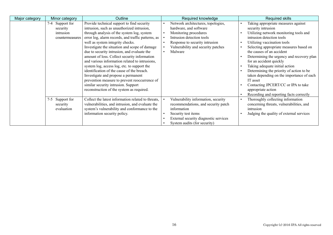| Major category | Minor category                                              | Outline                                                                                                                                                                                                                                                                                                                                                                                                                                                                                                                                                                                                                                                                                                     | Required knowledge                                                                                                                                                                                    | <b>Required skills</b>                                                                                                                                                                                                                                                                                                                                                                                                                                                                                                                                         |
|----------------|-------------------------------------------------------------|-------------------------------------------------------------------------------------------------------------------------------------------------------------------------------------------------------------------------------------------------------------------------------------------------------------------------------------------------------------------------------------------------------------------------------------------------------------------------------------------------------------------------------------------------------------------------------------------------------------------------------------------------------------------------------------------------------------|-------------------------------------------------------------------------------------------------------------------------------------------------------------------------------------------------------|----------------------------------------------------------------------------------------------------------------------------------------------------------------------------------------------------------------------------------------------------------------------------------------------------------------------------------------------------------------------------------------------------------------------------------------------------------------------------------------------------------------------------------------------------------------|
|                | 7-4 Support for<br>security<br>intrusion<br>countermeasures | Provide technical support to find security<br>intrusion, such as unauthorized intrusion,<br>through analysis of the system log, system<br>error log, alarm records, and traffic patterns, as<br>well as system integrity checks.<br>Investigate the situation and scope of damage<br>due to security intrusion, and evaluate the<br>amount of loss. Collect security information<br>and various information related to intrusions,<br>system log, access log, etc. to support the<br>identification of the cause of the breach.<br>Investigate and propose a permanent<br>prevention measure to prevent reoccurrence of<br>similar security intrusion. Support<br>reconstruction of the system as required. | Network architectures, topologies,<br>hardware, and software<br>Monitoring procedures<br>Intrusion detection tools<br>Response to security intrusion<br>Vulnerability and security patches<br>Malware | Taking appropriate measures against<br>security intrusion<br>Utilizing network monitoring tools and<br>intrusion detection tools<br>Utilizing vaccination tools<br>Selecting appropriate measures based on<br>the causes of an accident<br>Determining the urgency and recovery plan<br>for an accident quickly<br>Taking adequate initial action<br>Determining the priority of action to be<br>taken depending on the importance of each<br>IT asset<br>Contacting JPCERT/CC or IPA to take<br>appropriate action<br>Recording and reporting facts correctly |
|                | 7-5 Support for<br>security<br>evaluation                   | Collect the latest information related to threats,<br>vulnerabilities, and intrusion, and evaluate the<br>system's vulnerability and conformance to the<br>information security policy.                                                                                                                                                                                                                                                                                                                                                                                                                                                                                                                     | Vulnerability information, security<br>recommendations, and security patch<br>information<br>Security test items<br>External security diagnostic services<br>System audits (for security)             | Thoroughly collecting information<br>concerning threats, vulnerabilities, and<br>intrusion<br>Judging the quality of external services                                                                                                                                                                                                                                                                                                                                                                                                                         |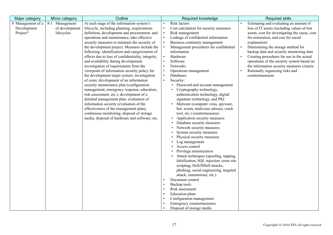| Major category        | Minor category | Outline                                            | Required knowledge                                                       | <b>Required skills</b>                         |
|-----------------------|----------------|----------------------------------------------------|--------------------------------------------------------------------------|------------------------------------------------|
| 8 Management of a     | 8-1 Management | At each stage of the information system's          | Risk factors                                                             | Estimating and evaluating an amount of         |
| Development           | of development | lifecycle, including planning, requirements        | Cost calculation for security measures                                   | loss of IT assets (including values of lost    |
| Project <sup>2)</sup> | lifecycles     | definition, development and procurement, and       | Risk management                                                          | assets, cost for investigating the cause, cost |
|                       |                | operations and maintenance, take effective         | Leakage of confidential information                                      | for restoration, and cost for social           |
|                       |                | security measures to maintain the security of      | Business continuity management                                           | explanation)                                   |
|                       |                | the development project. Measures include the      | Management procedures for confidential                                   | Determining the storage method for             |
|                       |                | following: identification and categorization of    | information                                                              | backup data and security monitoring data       |
|                       |                | effects due to loss of confidentiality, integrity, | Hardware                                                                 | Creating procedures for use in the actual      |
|                       |                | and availability during development;               | Software                                                                 | operations of the security system based on     |
|                       |                | investigation of requirements from the             | Networks                                                                 | the information security measures criteria     |
|                       |                | viewpoint of information security policy for       | Operations management                                                    | Rationally organizing risks and                |
|                       |                | the development target system; investigation       | Databases                                                                | countermeasures                                |
|                       |                | of costs; development of an information            | Security:<br>$\bullet$                                                   |                                                |
|                       |                | security maintenance plan (configuration           | Password and account management                                          |                                                |
|                       |                | management, emergency response, education,         | Cryptography technology,                                                 |                                                |
|                       |                | risk assessment, etc.); development of a           | authentication technology, digital                                       |                                                |
|                       |                | detailed management plan; evaluation of            | signature technology, and PKI                                            |                                                |
|                       |                | information security (evaluation of the            | • Malware (computer virus, spyware,                                      |                                                |
|                       |                | effectiveness of the management plan);             | bot, worm, malicious adware, crack                                       |                                                |
|                       |                | continuous monitoring; disposal of storage         | tool, etc.) countermeasures                                              |                                                |
|                       |                | media, disposal of hardware and software; etc.     | • Application security measures                                          |                                                |
|                       |                |                                                    | Database security measures                                               |                                                |
|                       |                |                                                    | Network security measures                                                |                                                |
|                       |                |                                                    | System security measures                                                 |                                                |
|                       |                |                                                    | Physical security measures                                               |                                                |
|                       |                |                                                    | Log management                                                           |                                                |
|                       |                |                                                    | Access control                                                           |                                                |
|                       |                |                                                    | Privilege minimization                                                   |                                                |
|                       |                |                                                    | Attack techniques (spoofing, tapping,                                    |                                                |
|                       |                |                                                    | falsification, SQL injection, cross site<br>scripting, DoS/DDoS attacks, |                                                |
|                       |                |                                                    |                                                                          |                                                |
|                       |                |                                                    | phishing, social engineering, targeted<br>attack, ransomware, etc.)      |                                                |
|                       |                |                                                    | Document control                                                         |                                                |
|                       |                |                                                    | Backup tools                                                             |                                                |
|                       |                |                                                    | Risk assessment                                                          |                                                |
|                       |                |                                                    | <b>Education</b> plans                                                   |                                                |
|                       |                |                                                    | Configuration management                                                 |                                                |
|                       |                |                                                    | Emergency countermeasures                                                |                                                |
|                       |                |                                                    | Disposal of storage media                                                |                                                |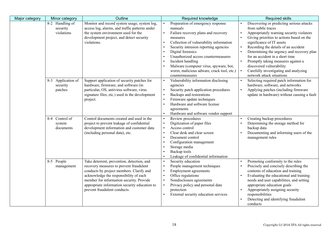| Major category | Minor category                            | Outline                                                                                                                                                                                                                                                                                                  | Required knowledge                                                                                                                                                                                                                                                                                                                                                             | <b>Required skills</b>                                                                                                                                                                                                                                                                                                                                                                                                                                                          |
|----------------|-------------------------------------------|----------------------------------------------------------------------------------------------------------------------------------------------------------------------------------------------------------------------------------------------------------------------------------------------------------|--------------------------------------------------------------------------------------------------------------------------------------------------------------------------------------------------------------------------------------------------------------------------------------------------------------------------------------------------------------------------------|---------------------------------------------------------------------------------------------------------------------------------------------------------------------------------------------------------------------------------------------------------------------------------------------------------------------------------------------------------------------------------------------------------------------------------------------------------------------------------|
|                | 8-2 Handling of<br>security<br>violations | Monitor and record system usage, system log,<br>access log, alarms, and traffic patterns under<br>the system environment used for the<br>development project, and detect security<br>violations.                                                                                                         | Preparation of emergency response<br>manuals<br>Failure recovery plans and recovery<br>measures<br>Collection of vulnerability information<br>Security intrusion reporting agencies<br>Digital forensics<br>Unauthorized access countermeasures<br>Incident handling<br>Malware (computer virus, spyware, bot,<br>worm, malicious adware, crack tool, etc.)<br>countermeasures | Discovering or predicting serious attacks<br>from subtle traces<br>Appropriately warning security violators<br>Giving priorities to actions based on the<br>significance of IT assets<br>Recording the details of an accident<br>$\bullet$<br>Determining the urgency and recovery plan<br>for an accident in a short time<br>Promptly taking measures against a<br>discovered vulnerability<br>Carefully investigating and analyzing<br>$\bullet$<br>network attack situations |
|                | 8-3 Application of<br>security<br>patches | Support application of security patches for<br>hardware, firmware, and software (in<br>particular, OS, antivirus software, virus<br>signature files, etc.) used in the development<br>project.                                                                                                           | Vulnerability information disclosing<br>agencies<br>Security patch application procedures<br>$\bullet$<br>Backups and restorations<br>Firmware update techniques<br>Hardware and software license<br>agreements<br>Hardware and software vendor support                                                                                                                        | Selecting required patch information for<br>hardware, software, and networks<br>Applying patches (including firmware<br>$\bullet$<br>update in hardware) without causing a fault                                                                                                                                                                                                                                                                                                |
|                | 8-4 Control of<br>system<br>documents     | Control documents created and used in the<br>project to prevent leakage of confidential<br>development information and customer data<br>(including personal data), etc.                                                                                                                                  | Review procedures<br>Digitization of paper files<br>Access control<br>Clear desk and clear screen<br>$\bullet$<br>Document control<br>Configuration management<br>Storage media<br>Backup tools<br>Leakage of confidential information                                                                                                                                         | Creating backup procedures<br>Determining the storage method for<br>backup data<br>Documenting and informing users of the<br>management rules                                                                                                                                                                                                                                                                                                                                   |
|                | 8-5 People<br>management                  | Take deterrent, prevention, detection, and<br>recovery measures to prevent fraudulent<br>conducts by project members. Clarify and<br>acknowledge the responsibility of each<br>member for information security. Provide<br>appropriate information security education to<br>prevent fraudulent conducts. | Security education<br>$\bullet$<br>People management techniques<br>$\bullet$<br><b>Employment agreements</b><br>Office regulations<br>Nondisclosure agreements<br>Privacy policy and personal data<br>$\bullet$<br>protection<br>External security education services<br>$\bullet$                                                                                             | Promoting conformity to the rules<br>$\bullet$<br>Precisely and concisely describing the<br>contents of education and training<br>Evaluating the educational and training<br>needs and user capabilities, and setting<br>appropriate education goals<br>Appropriately assigning security<br>responsibilities<br>Detecting and identifying fraudulent<br>conducts                                                                                                                |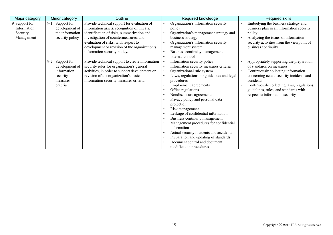| Major category                                         | Minor category                                                                       | Outline                                                                                                                                                                                                                                                                                                    | Required knowledge                                                                                                                                                                                                                                                                                                                                                                                                                                                                                                                                                                                                          | Required skills                                                                                                                                                                                                                                                                                             |
|--------------------------------------------------------|--------------------------------------------------------------------------------------|------------------------------------------------------------------------------------------------------------------------------------------------------------------------------------------------------------------------------------------------------------------------------------------------------------|-----------------------------------------------------------------------------------------------------------------------------------------------------------------------------------------------------------------------------------------------------------------------------------------------------------------------------------------------------------------------------------------------------------------------------------------------------------------------------------------------------------------------------------------------------------------------------------------------------------------------------|-------------------------------------------------------------------------------------------------------------------------------------------------------------------------------------------------------------------------------------------------------------------------------------------------------------|
| 9 Support for<br>Information<br>Security<br>Management | $9-1$<br>Support for<br>development of<br>the information<br>security policy         | Provide technical support for evaluation of<br>information assets, recognition of threats,<br>identification of risks, summarization and<br>investigation of countermeasures, and<br>evaluation of risks, with respect to<br>development or revision of the organization's<br>information security policy. | Organization's information security<br>policy<br>Organization's management strategy and<br>business strategy<br>Organization's information security<br>management system<br>Business continuity management<br>Internal control                                                                                                                                                                                                                                                                                                                                                                                              | Embodying the business strategy and<br>business plan in an information security<br>policy<br>Analyzing the issues of information<br>$\bullet$<br>security activities from the viewpoint of<br>business continuity                                                                                           |
|                                                        | 9-2 Support for<br>development of<br>information<br>security<br>measures<br>criteria | Provide technical support to create information<br>security rules for organization's general<br>activities, in order to support development or<br>revision of the organization's basic<br>information security measures criteria.                                                                          | Information security policy<br>Information security measures criteria<br>$\bullet$<br>Organizational rule system<br>Laws, regulations, or guidelines and legal<br>procedures<br>Employment agreements<br>Office regulations<br>Nondisclosure agreements<br>Privacy policy and personal data<br>protection<br>Risk management<br>$\bullet$<br>Leakage of confidential information<br>Business continuity management<br>Management procedures for confidential<br>information<br>Actual security incidents and accidents<br>Preparation and updating of standards<br>Document control and document<br>modification procedures | Appropriately supporting the preparation<br>of standards on measures<br>Continuously collecting information<br>$\bullet$<br>concerning actual security incidents and<br>accidents<br>Continuously collecting laws, regulations,<br>guidelines, rules, and standards with<br>respect to information security |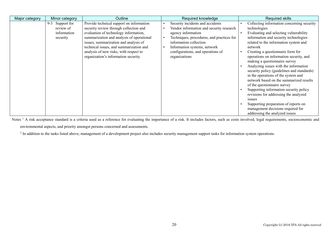| Major category | Minor category  | Outline                                   | Required knowledge                        | <b>Required skills</b>                     |
|----------------|-----------------|-------------------------------------------|-------------------------------------------|--------------------------------------------|
|                | 9-3 Support for | Provide technical support on information  | Security incidents and accidents          | Collecting information concerning security |
|                | review of       | security review through collection and    | Vendor information and security research  | technologies                               |
|                | information     | evaluation of technology information,     | agency information                        | Evaluating and selecting vulnerability     |
|                | security        | summarization and analysis of operational | Techniques, procedures, and practices for | information and security technologies      |
|                |                 | issues, summarization and analysis of     | information collection                    | related to the information system and      |
|                |                 | technical issues, and summarization and   | Information systems, network              | network                                    |
|                |                 | analysis of new risks, with respect to    | configurations, and operations of         | Creating a questionnaire form for          |
|                |                 | organization's information security.      | organizations                             | operations on information security, and    |
|                |                 |                                           |                                           | making a questionnaire survey              |
|                |                 |                                           |                                           | Analyzing issues with the information      |
|                |                 |                                           |                                           | security policy (guidelines and standards) |
|                |                 |                                           |                                           | in the operations of the system and        |
|                |                 |                                           |                                           | network based on the summarized results    |
|                |                 |                                           |                                           | of the questionnaire survey                |
|                |                 |                                           |                                           | Supporting information security policy     |
|                |                 |                                           |                                           | revisions for addressing the analyzed      |
|                |                 |                                           |                                           | issues                                     |
|                |                 |                                           |                                           | Supporting preparation of reports on       |
|                |                 |                                           |                                           | management decisions required for          |
|                |                 |                                           |                                           | addressing the analyzed issues             |

Notes<sup>1</sup> A risk acceptance standard is a criteria used as a reference for evaluating the importance of a risk. It includes factors, such as costs involved, legal requirements, socioeconomic and environmental aspects, and priority amongst persons concerned and assessments.

<sup>2</sup> In addition to the tasks listed above, management of a development project also includes security management support tasks for information system operations.